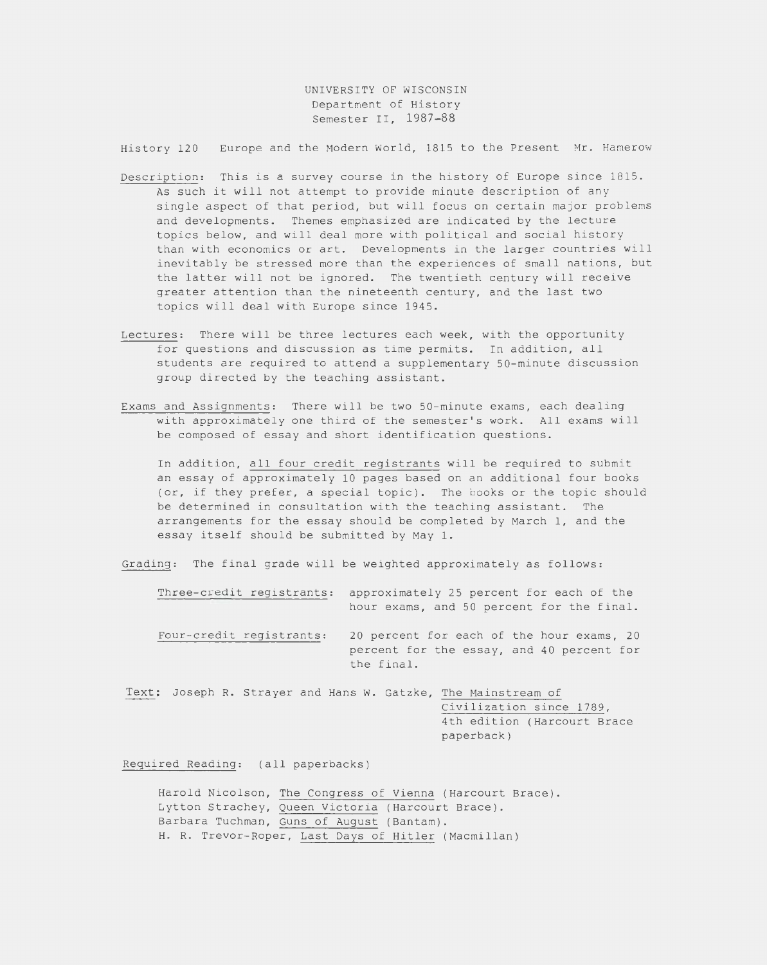UNIVERSITY OF WISCONSIN Department of History Semester II, 1987-88

History 120 Europe and the Modern World, 1815 to the Present Mr. Hamerow

- Description: This is a survey course in the history of Europe since 1815. As such it will not attempt to provide minute description of any single aspect of that period, but will focus on certain major problems and developments. Themes emphasized are indicated by the lecture topics below, and will deal more with political and social history than with economics or art. Developments in the larger countries will inevitably be stressed more than the experiences of small nations, but the latter will not be ignored. The twentieth century will receive greater attention than the nineteenth century, and the last two topics will deal with Europe since 1945.
- Lectures: There will be three lectures each week, with the opportunity for questions and discussion as time permits. In addition, all students are required to attend a supplementary 50-minute discussion group directed by the teaching assistant.
- Exams and Assignments: There will be two 50-minute exams, each dealing with approximately one third of the semester's work. All exams will be composed of essay and short identification questions.

In addition, all four credit registrants will be required to submit an essay of approximately 10 pages based on an additional four books (or, if they prefer, a special topic). The books or the topic should be determined in consultation with the teach ing assistant. The arrangements for the essay should be completed by March 1, and the essay itself should be submitted by May 1.

Grading: The final grade will be weighted approximately as follows:

| Three-credit registrants: | approximately 25 percent for each of the<br>hour exams, and 50 percent for the final.                |
|---------------------------|------------------------------------------------------------------------------------------------------|
| Four-credit registrants:  | 20 percent for each of the hour exams, 20<br>percent for the essay, and 40 percent for<br>the final. |

Text: Joseph R. Strayer and Hans W. Gatzke, The Mainstream of Civilization since 1789, 4th edition (Harcourt Brace paperback)

Required Reading: (all paperbacks)

Harold Nicolson, The Congress of Vienna (Harcourt Brace). Lytton Strachey, Queen Victoria (Harcourt Brace). Barbara Tuchman, Guns of August (Bantam). H. R. Trevor-Roper, Last Days of Hitler (Macmillan)